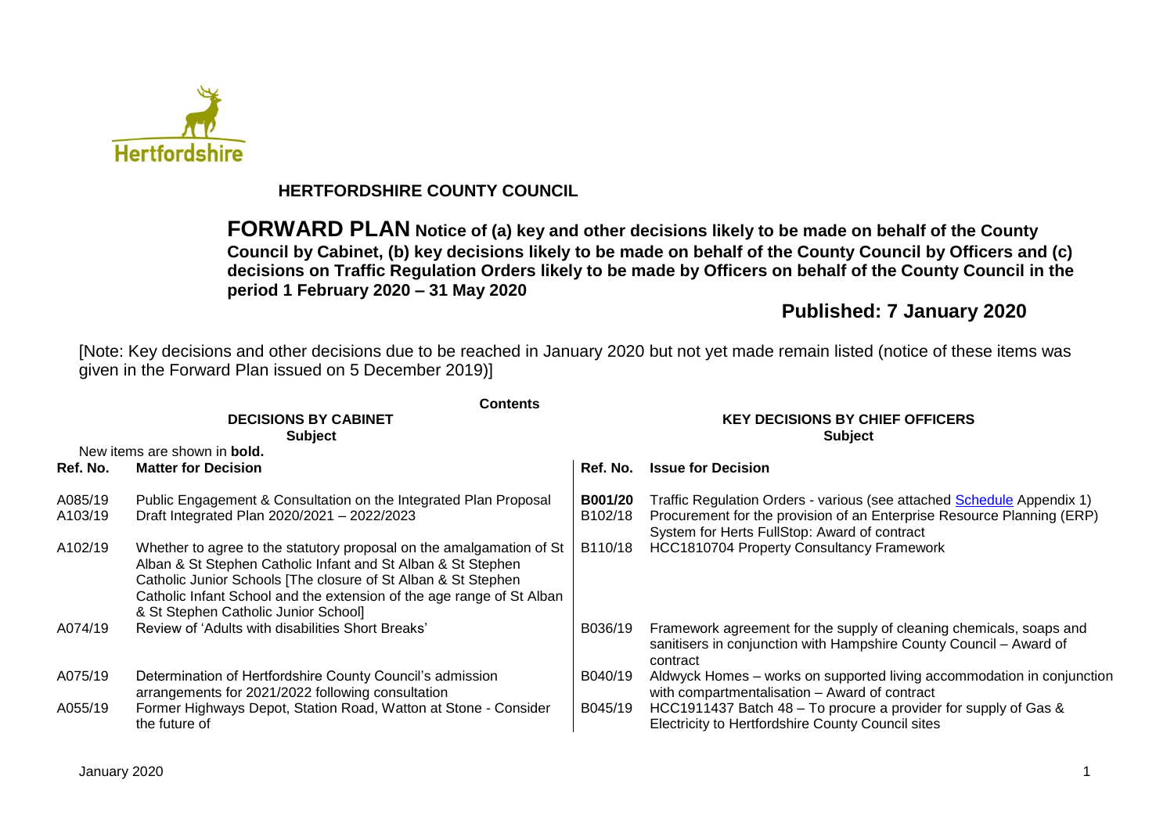

# **HERTFORDSHIRE COUNTY COUNCIL**

**FORWARD PLAN Notice of (a) key and other decisions likely to be made on behalf of the County Council by Cabinet, (b) key decisions likely to be made on behalf of the County Council by Officers and (c) decisions on Traffic Regulation Orders likely to be made by Officers on behalf of the County Council in the period 1 February 2020 – 31 May 2020**

# **Published: 7 January 2020**

[Note: Key decisions and other decisions due to be reached in January 2020 but not yet made remain listed (notice of these items was given in the Forward Plan issued on 5 December 2019)]

|                    | <b>Contents</b>                                                                                                                                                                                                                                                                                                        |                                                          |                                                                                                                                                                                                  |  |  |  |
|--------------------|------------------------------------------------------------------------------------------------------------------------------------------------------------------------------------------------------------------------------------------------------------------------------------------------------------------------|----------------------------------------------------------|--------------------------------------------------------------------------------------------------------------------------------------------------------------------------------------------------|--|--|--|
|                    | <b>DECISIONS BY CABINET</b><br><b>Subject</b>                                                                                                                                                                                                                                                                          | <b>KEY DECISIONS BY CHIEF OFFICERS</b><br><b>Subject</b> |                                                                                                                                                                                                  |  |  |  |
|                    | New items are shown in <b>bold.</b>                                                                                                                                                                                                                                                                                    |                                                          |                                                                                                                                                                                                  |  |  |  |
| Ref. No.           | <b>Matter for Decision</b>                                                                                                                                                                                                                                                                                             | Ref. No.                                                 | <b>Issue for Decision</b>                                                                                                                                                                        |  |  |  |
| A085/19<br>A103/19 | Public Engagement & Consultation on the Integrated Plan Proposal<br>Draft Integrated Plan 2020/2021 - 2022/2023                                                                                                                                                                                                        | B001/20<br>B102/18                                       | Traffic Regulation Orders - various (see attached Schedule Appendix 1)<br>Procurement for the provision of an Enterprise Resource Planning (ERP)<br>System for Herts FullStop: Award of contract |  |  |  |
| A102/19            | Whether to agree to the statutory proposal on the amalgamation of St<br>Alban & St Stephen Catholic Infant and St Alban & St Stephen<br>Catholic Junior Schools [The closure of St Alban & St Stephen<br>Catholic Infant School and the extension of the age range of St Alban<br>& St Stephen Catholic Junior School] | B110/18                                                  | <b>HCC1810704 Property Consultancy Framework</b>                                                                                                                                                 |  |  |  |
| A074/19            | Review of 'Adults with disabilities Short Breaks'                                                                                                                                                                                                                                                                      | B036/19                                                  | Framework agreement for the supply of cleaning chemicals, soaps and<br>sanitisers in conjunction with Hampshire County Council - Award of<br>contract                                            |  |  |  |
| A075/19            | Determination of Hertfordshire County Council's admission<br>arrangements for 2021/2022 following consultation                                                                                                                                                                                                         | B040/19                                                  | Aldwyck Homes - works on supported living accommodation in conjunction<br>with compartmentalisation - Award of contract                                                                          |  |  |  |
| A055/19            | Former Highways Depot, Station Road, Watton at Stone - Consider<br>the future of                                                                                                                                                                                                                                       | B045/19                                                  | HCC1911437 Batch 48 – To procure a provider for supply of Gas &<br>Electricity to Hertfordshire County Council sites                                                                             |  |  |  |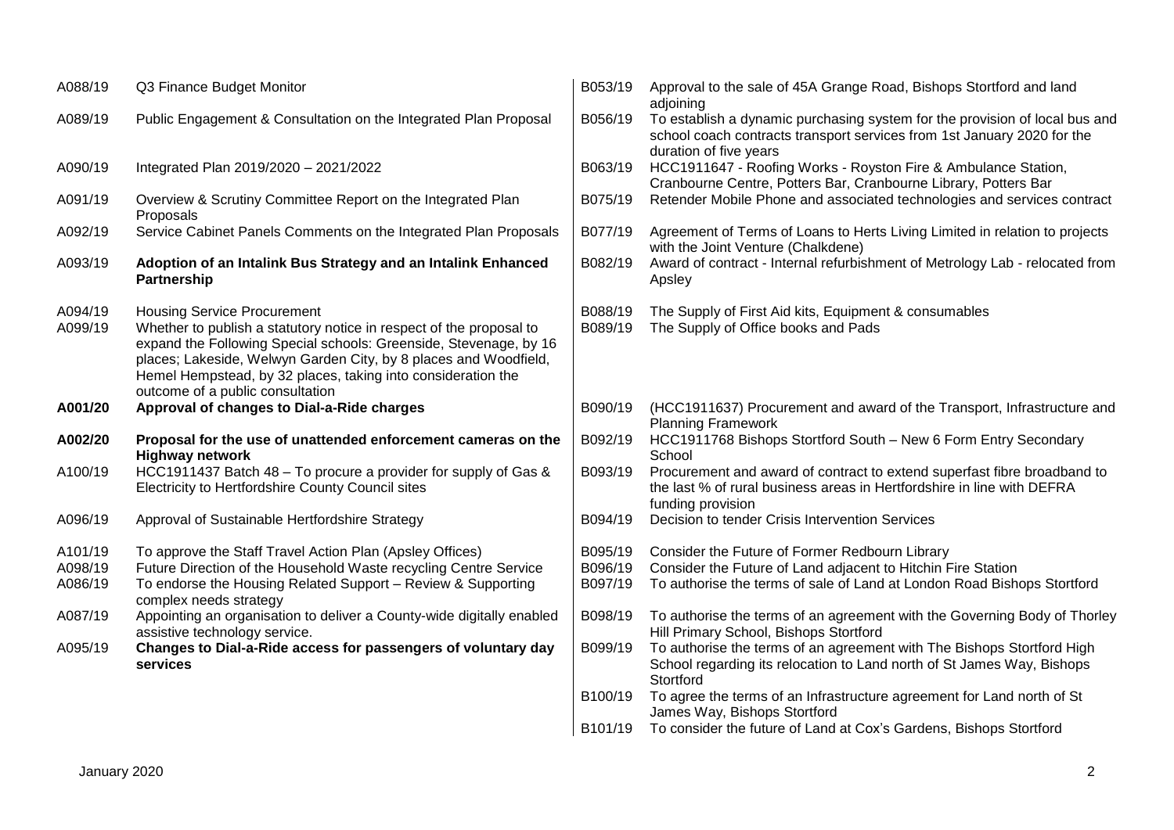| A088/19                       | Q3 Finance Budget Monitor                                                                                                                                                                                                                                                                                                                              | B053/19                       | Approval to the sale of 45A Grange Road, Bishops Stortford and land<br>adjoining                                                                                                          |
|-------------------------------|--------------------------------------------------------------------------------------------------------------------------------------------------------------------------------------------------------------------------------------------------------------------------------------------------------------------------------------------------------|-------------------------------|-------------------------------------------------------------------------------------------------------------------------------------------------------------------------------------------|
| A089/19                       | Public Engagement & Consultation on the Integrated Plan Proposal                                                                                                                                                                                                                                                                                       | B056/19                       | To establish a dynamic purchasing system for the provision of local bus and<br>school coach contracts transport services from 1st January 2020 for the                                    |
| A090/19                       | Integrated Plan 2019/2020 - 2021/2022                                                                                                                                                                                                                                                                                                                  | B063/19                       | duration of five years<br>HCC1911647 - Roofing Works - Royston Fire & Ambulance Station,<br>Cranbourne Centre, Potters Bar, Cranbourne Library, Potters Bar                               |
| A091/19                       | Overview & Scrutiny Committee Report on the Integrated Plan<br>Proposals                                                                                                                                                                                                                                                                               | B075/19                       | Retender Mobile Phone and associated technologies and services contract                                                                                                                   |
| A092/19                       | Service Cabinet Panels Comments on the Integrated Plan Proposals                                                                                                                                                                                                                                                                                       | B077/19                       | Agreement of Terms of Loans to Herts Living Limited in relation to projects<br>with the Joint Venture (Chalkdene)                                                                         |
| A093/19                       | Adoption of an Intalink Bus Strategy and an Intalink Enhanced<br>Partnership                                                                                                                                                                                                                                                                           | B082/19                       | Award of contract - Internal refurbishment of Metrology Lab - relocated from<br>Apsley                                                                                                    |
| A094/19<br>A099/19            | <b>Housing Service Procurement</b><br>Whether to publish a statutory notice in respect of the proposal to<br>expand the Following Special schools: Greenside, Stevenage, by 16<br>places; Lakeside, Welwyn Garden City, by 8 places and Woodfield,<br>Hemel Hempstead, by 32 places, taking into consideration the<br>outcome of a public consultation | B088/19<br>B089/19            | The Supply of First Aid kits, Equipment & consumables<br>The Supply of Office books and Pads                                                                                              |
| A001/20                       | Approval of changes to Dial-a-Ride charges                                                                                                                                                                                                                                                                                                             | B090/19                       | (HCC1911637) Procurement and award of the Transport, Infrastructure and<br><b>Planning Framework</b>                                                                                      |
| A002/20                       | Proposal for the use of unattended enforcement cameras on the<br><b>Highway network</b>                                                                                                                                                                                                                                                                | B092/19                       | HCC1911768 Bishops Stortford South - New 6 Form Entry Secondary<br>School                                                                                                                 |
| A100/19                       | HCC1911437 Batch 48 – To procure a provider for supply of Gas &<br>Electricity to Hertfordshire County Council sites                                                                                                                                                                                                                                   | B093/19                       | Procurement and award of contract to extend superfast fibre broadband to<br>the last % of rural business areas in Hertfordshire in line with DEFRA<br>funding provision                   |
| A096/19                       | Approval of Sustainable Hertfordshire Strategy                                                                                                                                                                                                                                                                                                         | B094/19                       | Decision to tender Crisis Intervention Services                                                                                                                                           |
| A101/19<br>A098/19<br>A086/19 | To approve the Staff Travel Action Plan (Apsley Offices)<br>Future Direction of the Household Waste recycling Centre Service<br>To endorse the Housing Related Support - Review & Supporting<br>complex needs strategy                                                                                                                                 | B095/19<br>B096/19<br>B097/19 | Consider the Future of Former Redbourn Library<br>Consider the Future of Land adjacent to Hitchin Fire Station<br>To authorise the terms of sale of Land at London Road Bishops Stortford |
| A087/19                       | Appointing an organisation to deliver a County-wide digitally enabled<br>assistive technology service.                                                                                                                                                                                                                                                 | B098/19                       | To authorise the terms of an agreement with the Governing Body of Thorley<br>Hill Primary School, Bishops Stortford                                                                       |
| A095/19                       | Changes to Dial-a-Ride access for passengers of voluntary day<br>services                                                                                                                                                                                                                                                                              | B099/19                       | To authorise the terms of an agreement with The Bishops Stortford High<br>School regarding its relocation to Land north of St James Way, Bishops<br>Stortford                             |
|                               |                                                                                                                                                                                                                                                                                                                                                        | B100/19                       | To agree the terms of an Infrastructure agreement for Land north of St<br>James Way, Bishops Stortford                                                                                    |
|                               |                                                                                                                                                                                                                                                                                                                                                        | B101/19                       | To consider the future of Land at Cox's Gardens, Bishops Stortford                                                                                                                        |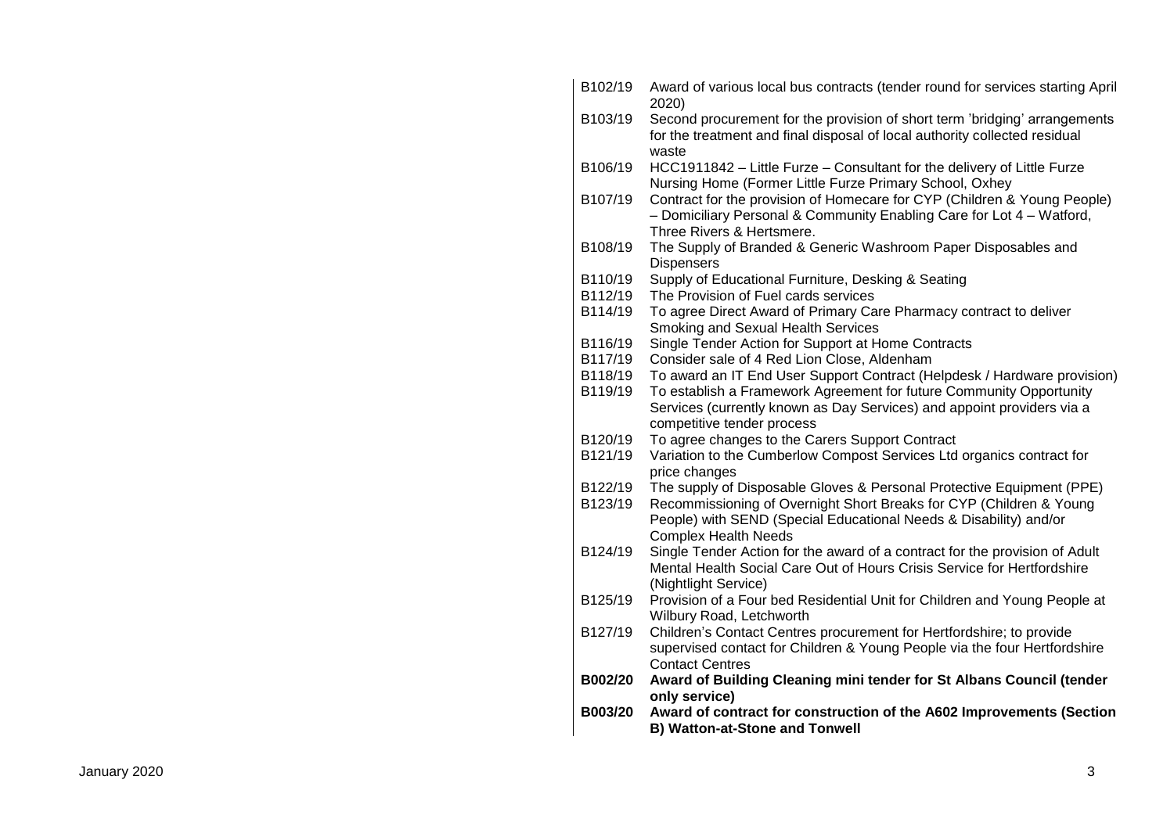| B102/19 | Award of various local bus contracts (tender round for services starting April<br>2020)                                                                                        |
|---------|--------------------------------------------------------------------------------------------------------------------------------------------------------------------------------|
| B103/19 | Second procurement for the provision of short term 'bridging' arrangements<br>for the treatment and final disposal of local authority collected residual<br>waste              |
| B106/19 | HCC1911842 - Little Furze - Consultant for the delivery of Little Furze<br>Nursing Home (Former Little Furze Primary School, Oxhey                                             |
| B107/19 | Contract for the provision of Homecare for CYP (Children & Young People)<br>- Domiciliary Personal & Community Enabling Care for Lot 4 - Watford,<br>Three Rivers & Hertsmere. |
| B108/19 | The Supply of Branded & Generic Washroom Paper Disposables and<br><b>Dispensers</b>                                                                                            |
| B110/19 | Supply of Educational Furniture, Desking & Seating                                                                                                                             |
| B112/19 | The Provision of Fuel cards services                                                                                                                                           |
| B114/19 | To agree Direct Award of Primary Care Pharmacy contract to deliver<br>Smoking and Sexual Health Services                                                                       |
| B116/19 | Single Tender Action for Support at Home Contracts                                                                                                                             |
| B117/19 | Consider sale of 4 Red Lion Close, Aldenham                                                                                                                                    |
| B118/19 | To award an IT End User Support Contract (Helpdesk / Hardware provision)                                                                                                       |
| B119/19 | To establish a Framework Agreement for future Community Opportunity<br>Services (currently known as Day Services) and appoint providers via a                                  |
| B120/19 | competitive tender process                                                                                                                                                     |
| B121/19 | To agree changes to the Carers Support Contract<br>Variation to the Cumberlow Compost Services Ltd organics contract for                                                       |
|         | price changes                                                                                                                                                                  |
| B122/19 | The supply of Disposable Gloves & Personal Protective Equipment (PPE)                                                                                                          |
| B123/19 | Recommissioning of Overnight Short Breaks for CYP (Children & Young<br>People) with SEND (Special Educational Needs & Disability) and/or<br><b>Complex Health Needs</b>        |
| B124/19 | Single Tender Action for the award of a contract for the provision of Adult<br>Mental Health Social Care Out of Hours Crisis Service for Hertfordshire<br>(Nightlight Service) |
| B125/19 | Provision of a Four bed Residential Unit for Children and Young People at<br>Wilbury Road, Letchworth                                                                          |
| B127/19 | Children's Contact Centres procurement for Hertfordshire; to provide<br>supervised contact for Children & Young People via the four Hertfordshire<br><b>Contact Centres</b>    |
| B002/20 | Award of Building Cleaning mini tender for St Albans Council (tender<br>only service)                                                                                          |
| B003/20 | Award of contract for construction of the A602 Improvements (Section<br><b>B) Watton-at-Stone and Tonwell</b>                                                                  |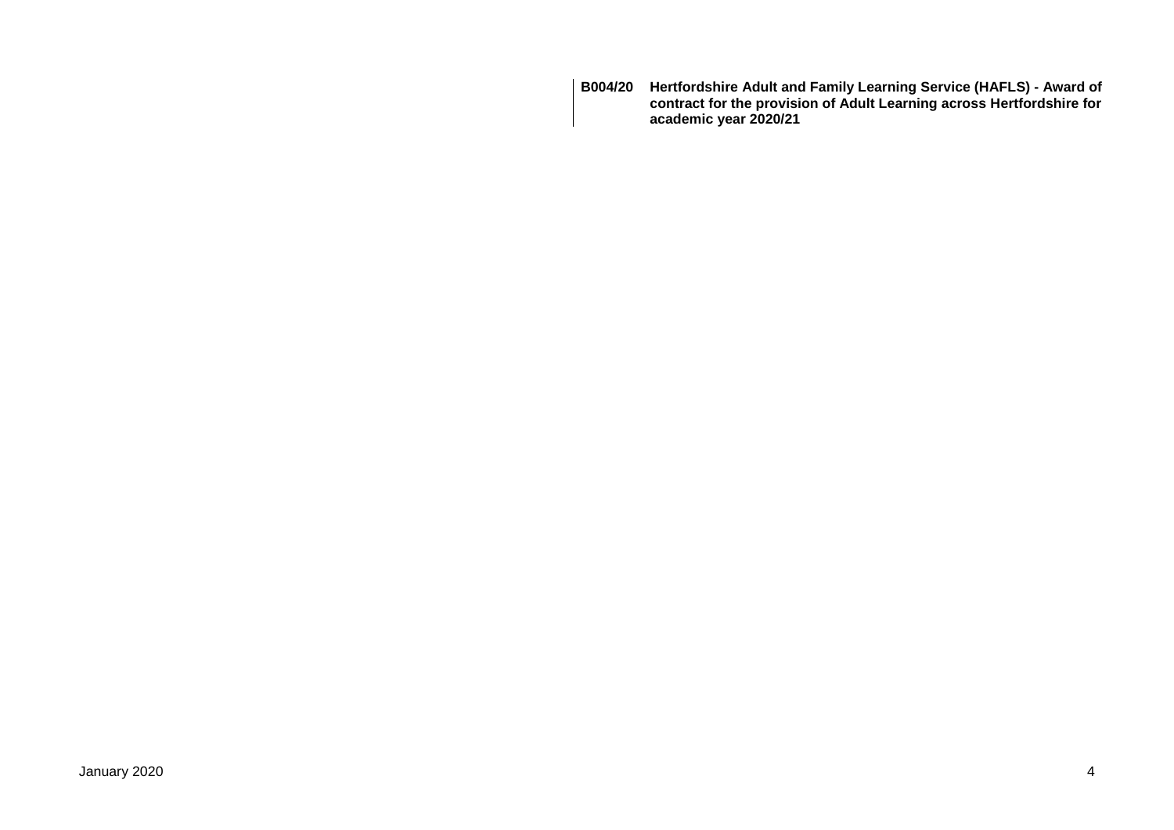**B004/20 Hertfordshire Adult and Family Learning Service (HAFLS) - Award of contract for the provision of Adult Learning across Hertfordshire for academic year 2020/21**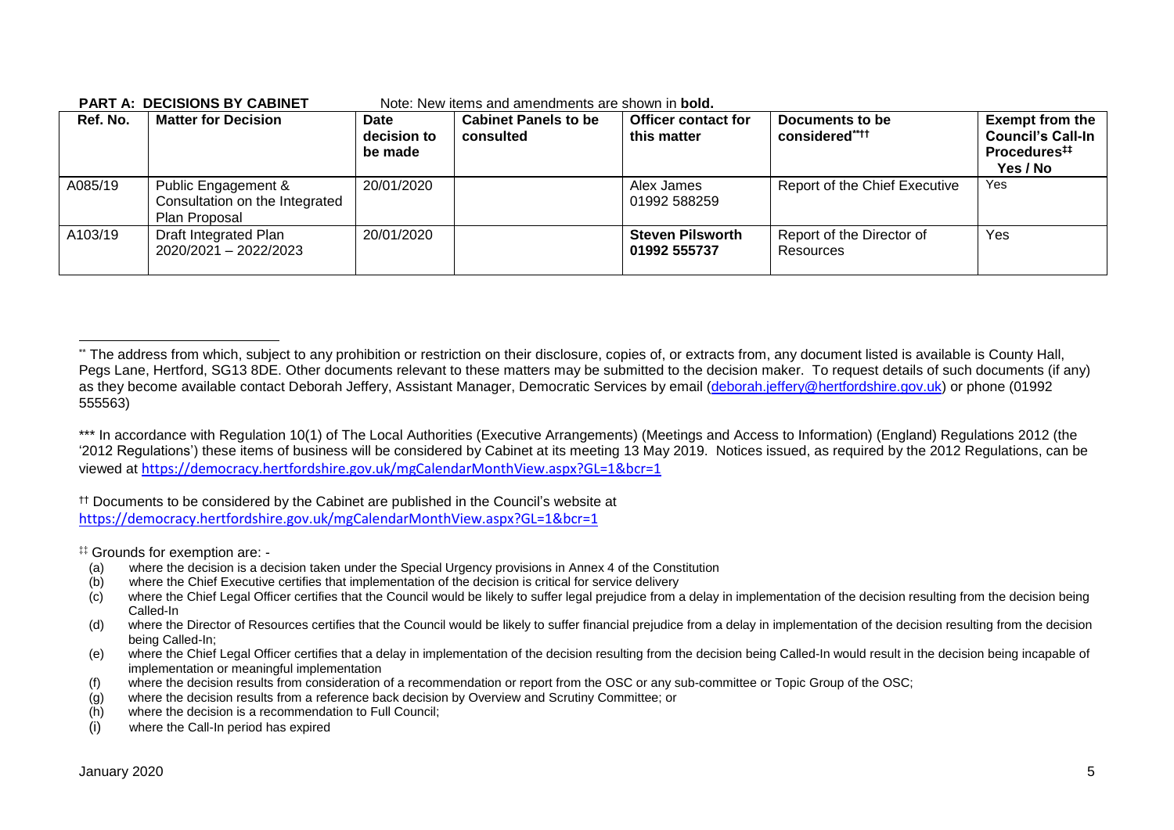**PART A: DECISIONS BY CABINET** Note: New items and amendments are shown in **bold.**

| Ref. No. | <b>Matter for Decision</b>                                             | <b>Date</b><br>decision to<br>be made | <b>Cabinet Panels to be</b><br>consulted | <b>Officer contact for</b><br>this matter | Documents to be<br>considered****      | <b>Exempt from the</b><br><b>Council's Call-In</b><br>Procedures <sup>##</sup><br>Yes / No |
|----------|------------------------------------------------------------------------|---------------------------------------|------------------------------------------|-------------------------------------------|----------------------------------------|--------------------------------------------------------------------------------------------|
| A085/19  | Public Engagement &<br>Consultation on the Integrated<br>Plan Proposal | 20/01/2020                            |                                          | Alex James<br>01992 588259                | Report of the Chief Executive          | <b>Yes</b>                                                                                 |
| A103/19  | Draft Integrated Plan<br>2020/2021 - 2022/2023                         | 20/01/2020                            |                                          | <b>Steven Pilsworth</b><br>01992 555737   | Report of the Director of<br>Resources | Yes                                                                                        |

\*\*\* In accordance with Regulation 10(1) of The Local Authorities (Executive Arrangements) (Meetings and Access to Information) (England) Regulations 2012 (the '2012 Regulations') these items of business will be considered by Cabinet at its meeting 13 May 2019. Notices issued, as required by the 2012 Regulations, can be viewed at <https://democracy.hertfordshire.gov.uk/mgCalendarMonthView.aspx?GL=1&bcr=1>

†† Documents to be considered by the Cabinet are published in the Council's website at <https://democracy.hertfordshire.gov.uk/mgCalendarMonthView.aspx?GL=1&bcr=1>

‡‡ Grounds for exemption are: -

- (a) where the decision is a decision taken under the Special Urgency provisions in Annex 4 of the Constitution
- (b) where the Chief Executive certifies that implementation of the decision is critical for service delivery
- (c) where the Chief Legal Officer certifies that the Council would be likely to suffer legal prejudice from a delay in implementation of the decision resulting from the decision being Called-In
- (d) where the Director of Resources certifies that the Council would be likely to suffer financial prejudice from a delay in implementation of the decision resulting from the decision being Called-In;
- (e) where the Chief Legal Officer certifies that a delay in implementation of the decision resulting from the decision being Called-In would result in the decision being incapable of implementation or meaningful implementation
- (f) where the decision results from consideration of a recommendation or report from the OSC or any sub-committee or Topic Group of the OSC;
- (g) where the decision results from a reference back decision by Overview and Scrutiny Committee; or
- (h) where the decision is a recommendation to Full Council;
- (i) where the Call-In period has expired

1

<sup>\*\*</sup> The address from which, subject to any prohibition or restriction on their disclosure, copies of, or extracts from, any document listed is available is County Hall, Pegs Lane, Hertford, SG13 8DE. Other documents relevant to these matters may be submitted to the decision maker. To request details of such documents (if any) as they become available contact Deborah Jeffery, Assistant Manager, Democratic Services by email [\(deborah.jeffery@hertfordshire.gov.uk\)](mailto:deborah.jeffery@hertfordshire.gov.uk) or phone (01992 555563)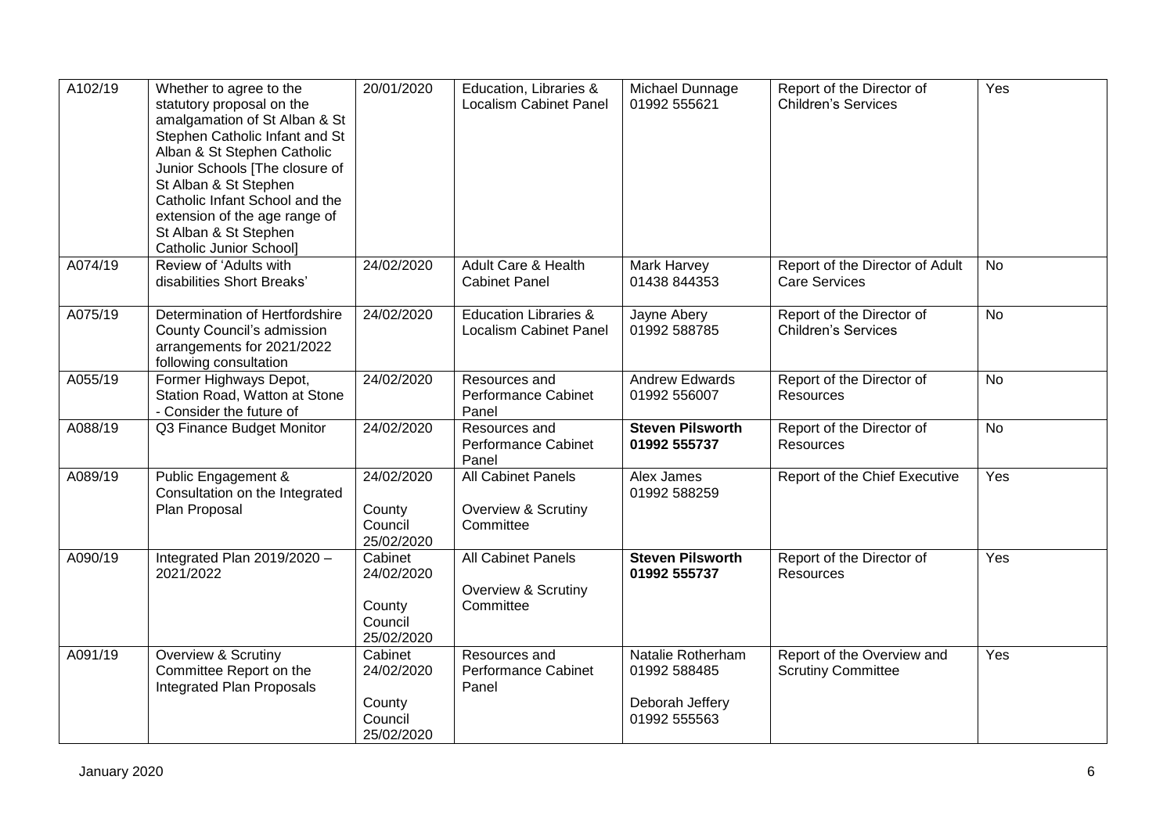| A102/19 | Whether to agree to the<br>statutory proposal on the<br>amalgamation of St Alban & St<br>Stephen Catholic Infant and St<br>Alban & St Stephen Catholic<br>Junior Schools [The closure of<br>St Alban & St Stephen<br>Catholic Infant School and the<br>extension of the age range of<br>St Alban & St Stephen<br>Catholic Junior School] | 20/01/2020                                               | Education, Libraries &<br><b>Localism Cabinet Panel</b>       | Michael Dunnage<br>01992 555621                                      | Report of the Director of<br><b>Children's Services</b> | Yes       |
|---------|------------------------------------------------------------------------------------------------------------------------------------------------------------------------------------------------------------------------------------------------------------------------------------------------------------------------------------------|----------------------------------------------------------|---------------------------------------------------------------|----------------------------------------------------------------------|---------------------------------------------------------|-----------|
| A074/19 | Review of 'Adults with<br>disabilities Short Breaks'                                                                                                                                                                                                                                                                                     | 24/02/2020                                               | Adult Care & Health<br><b>Cabinet Panel</b>                   | Mark Harvey<br>01438 844353                                          | Report of the Director of Adult<br><b>Care Services</b> | <b>No</b> |
| A075/19 | Determination of Hertfordshire<br>County Council's admission<br>arrangements for 2021/2022<br>following consultation                                                                                                                                                                                                                     | 24/02/2020                                               | <b>Education Libraries &amp;</b><br>Localism Cabinet Panel    | Jayne Abery<br>01992 588785                                          | Report of the Director of<br><b>Children's Services</b> | No        |
| A055/19 | Former Highways Depot,<br>Station Road, Watton at Stone<br>- Consider the future of                                                                                                                                                                                                                                                      | 24/02/2020                                               | Resources and<br><b>Performance Cabinet</b><br>Panel          | <b>Andrew Edwards</b><br>01992 556007                                | Report of the Director of<br>Resources                  | <b>No</b> |
| A088/19 | Q3 Finance Budget Monitor                                                                                                                                                                                                                                                                                                                | 24/02/2020                                               | Resources and<br>Performance Cabinet<br>Panel                 | <b>Steven Pilsworth</b><br>01992 555737                              | Report of the Director of<br><b>Resources</b>           | No        |
| A089/19 | Public Engagement &<br>Consultation on the Integrated<br>Plan Proposal                                                                                                                                                                                                                                                                   | 24/02/2020<br>County<br>Council<br>25/02/2020            | <b>All Cabinet Panels</b><br>Overview & Scrutiny<br>Committee | Alex James<br>01992 588259                                           | Report of the Chief Executive                           | Yes       |
| A090/19 | Integrated Plan 2019/2020 -<br>2021/2022                                                                                                                                                                                                                                                                                                 | Cabinet<br>24/02/2020<br>County<br>Council<br>25/02/2020 | <b>All Cabinet Panels</b><br>Overview & Scrutiny<br>Committee | <b>Steven Pilsworth</b><br>01992 555737                              | Report of the Director of<br><b>Resources</b>           | Yes       |
| A091/19 | Overview & Scrutiny<br>Committee Report on the<br><b>Integrated Plan Proposals</b>                                                                                                                                                                                                                                                       | Cabinet<br>24/02/2020<br>County<br>Council<br>25/02/2020 | Resources and<br><b>Performance Cabinet</b><br>Panel          | Natalie Rotherham<br>01992 588485<br>Deborah Jeffery<br>01992 555563 | Report of the Overview and<br><b>Scrutiny Committee</b> | Yes       |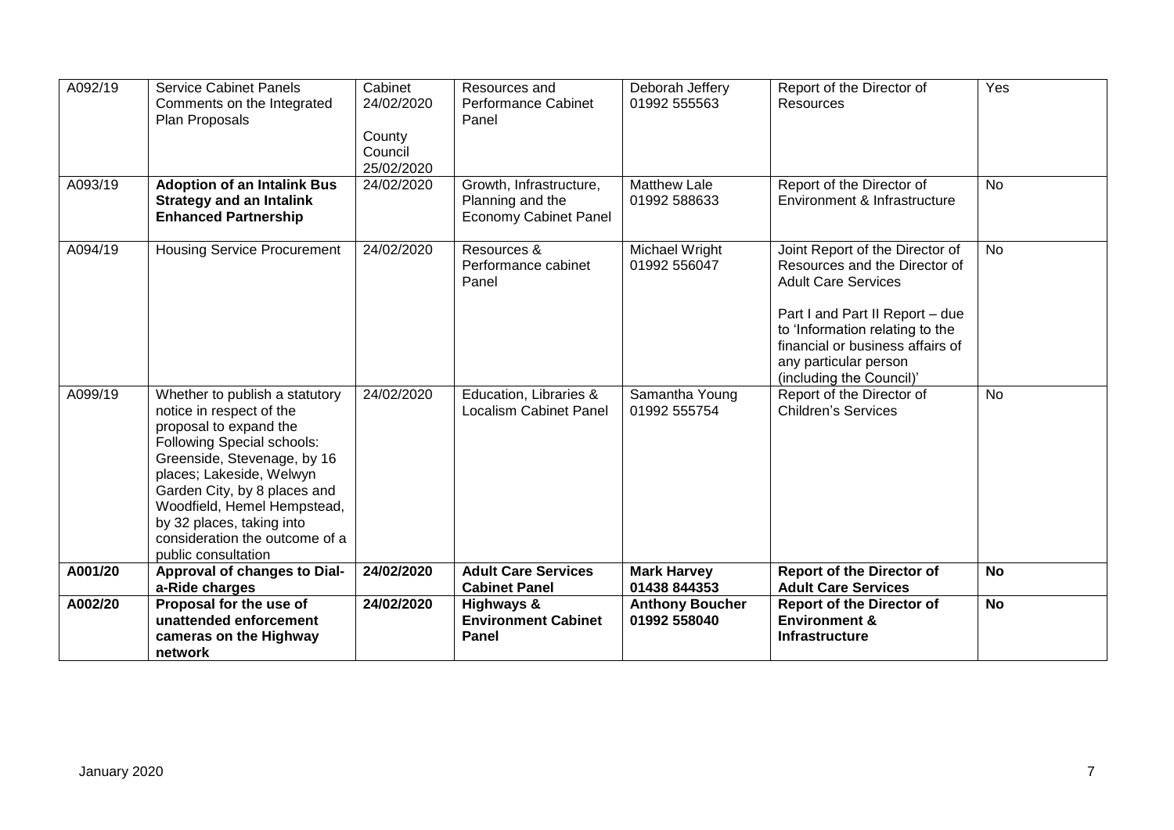| A092/19 | <b>Service Cabinet Panels</b><br>Comments on the Integrated<br>Plan Proposals                                                                                                                                                                                                                                                             | Cabinet<br>24/02/2020<br>County<br>Council<br>25/02/2020 | Resources and<br><b>Performance Cabinet</b><br>Panel                        | Deborah Jeffery<br>01992 555563        | Report of the Director of<br><b>Resources</b>                                                                                                                                                                                                                 | Yes       |
|---------|-------------------------------------------------------------------------------------------------------------------------------------------------------------------------------------------------------------------------------------------------------------------------------------------------------------------------------------------|----------------------------------------------------------|-----------------------------------------------------------------------------|----------------------------------------|---------------------------------------------------------------------------------------------------------------------------------------------------------------------------------------------------------------------------------------------------------------|-----------|
| A093/19 | <b>Adoption of an Intalink Bus</b><br><b>Strategy and an Intalink</b><br><b>Enhanced Partnership</b>                                                                                                                                                                                                                                      | 24/02/2020                                               | Growth, Infrastructure,<br>Planning and the<br><b>Economy Cabinet Panel</b> | <b>Matthew Lale</b><br>01992 588633    | Report of the Director of<br>Environment & Infrastructure                                                                                                                                                                                                     | <b>No</b> |
| A094/19 | <b>Housing Service Procurement</b>                                                                                                                                                                                                                                                                                                        | 24/02/2020                                               | Resources &<br>Performance cabinet<br>Panel                                 | Michael Wright<br>01992 556047         | Joint Report of the Director of<br>Resources and the Director of<br><b>Adult Care Services</b><br>Part I and Part II Report - due<br>to 'Information relating to the<br>financial or business affairs of<br>any particular person<br>(including the Council)' | <b>No</b> |
| A099/19 | Whether to publish a statutory<br>notice in respect of the<br>proposal to expand the<br><b>Following Special schools:</b><br>Greenside, Stevenage, by 16<br>places; Lakeside, Welwyn<br>Garden City, by 8 places and<br>Woodfield, Hemel Hempstead,<br>by 32 places, taking into<br>consideration the outcome of a<br>public consultation | 24/02/2020                                               | Education, Libraries &<br><b>Localism Cabinet Panel</b>                     | Samantha Young<br>01992 555754         | Report of the Director of<br><b>Children's Services</b>                                                                                                                                                                                                       | <b>No</b> |
| A001/20 | Approval of changes to Dial-<br>a-Ride charges                                                                                                                                                                                                                                                                                            | 24/02/2020                                               | <b>Adult Care Services</b><br><b>Cabinet Panel</b>                          | <b>Mark Harvey</b><br>01438 844353     | <b>Report of the Director of</b><br><b>Adult Care Services</b>                                                                                                                                                                                                | <b>No</b> |
| A002/20 | Proposal for the use of<br>unattended enforcement<br>cameras on the Highway<br>network                                                                                                                                                                                                                                                    | 24/02/2020                                               | Highways &<br><b>Environment Cabinet</b><br>Panel                           | <b>Anthony Boucher</b><br>01992 558040 | <b>Report of the Director of</b><br><b>Environment &amp;</b><br><b>Infrastructure</b>                                                                                                                                                                         | <b>No</b> |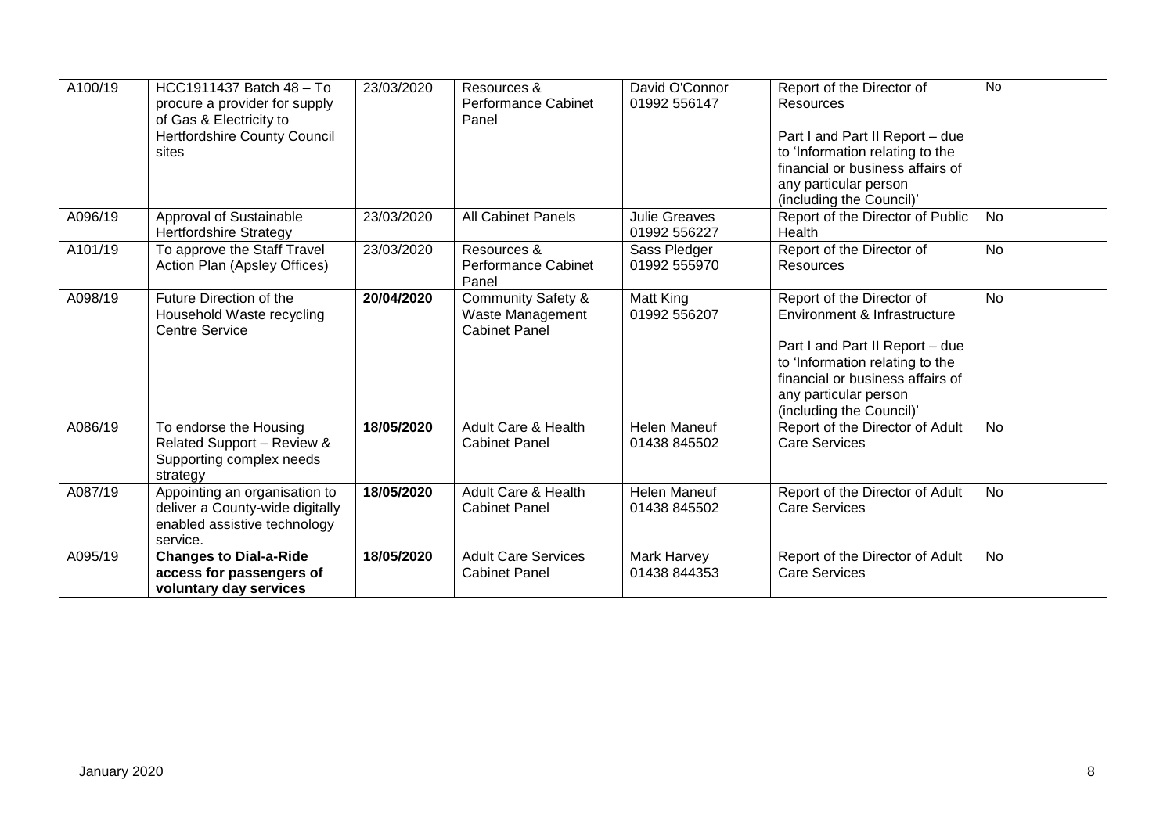| A100/19 | HCC1911437 Batch 48 - To<br>procure a provider for supply<br>of Gas & Electricity to<br>Hertfordshire County Council | 23/03/2020 | Resources &<br><b>Performance Cabinet</b><br>Panel                        | David O'Connor<br>01992 556147       | Report of the Director of<br>Resources<br>Part I and Part II Report - due                                                                                                                                                | No        |
|---------|----------------------------------------------------------------------------------------------------------------------|------------|---------------------------------------------------------------------------|--------------------------------------|--------------------------------------------------------------------------------------------------------------------------------------------------------------------------------------------------------------------------|-----------|
|         | sites                                                                                                                |            |                                                                           |                                      | to 'Information relating to the<br>financial or business affairs of<br>any particular person<br>(including the Council)'                                                                                                 |           |
| A096/19 | Approval of Sustainable<br><b>Hertfordshire Strategy</b>                                                             | 23/03/2020 | <b>All Cabinet Panels</b>                                                 | <b>Julie Greaves</b><br>01992 556227 | Report of the Director of Public<br>Health                                                                                                                                                                               | <b>No</b> |
| A101/19 | To approve the Staff Travel<br>Action Plan (Apsley Offices)                                                          | 23/03/2020 | Resources &<br><b>Performance Cabinet</b><br>Panel                        | Sass Pledger<br>01992 555970         | Report of the Director of<br>Resources                                                                                                                                                                                   | <b>No</b> |
| A098/19 | Future Direction of the<br>Household Waste recycling<br><b>Centre Service</b>                                        | 20/04/2020 | <b>Community Safety &amp;</b><br>Waste Management<br><b>Cabinet Panel</b> | Matt King<br>01992 556207            | Report of the Director of<br>Environment & Infrastructure<br>Part I and Part II Report - due<br>to 'Information relating to the<br>financial or business affairs of<br>any particular person<br>(including the Council)' | <b>No</b> |
| A086/19 | To endorse the Housing<br>Related Support - Review &<br>Supporting complex needs<br>strategy                         | 18/05/2020 | Adult Care & Health<br><b>Cabinet Panel</b>                               | <b>Helen Maneuf</b><br>01438 845502  | Report of the Director of Adult<br><b>Care Services</b>                                                                                                                                                                  | No        |
| A087/19 | Appointing an organisation to<br>deliver a County-wide digitally<br>enabled assistive technology<br>service.         | 18/05/2020 | Adult Care & Health<br><b>Cabinet Panel</b>                               | <b>Helen Maneuf</b><br>01438 845502  | Report of the Director of Adult<br><b>Care Services</b>                                                                                                                                                                  | No        |
| A095/19 | <b>Changes to Dial-a-Ride</b><br>access for passengers of<br>voluntary day services                                  | 18/05/2020 | <b>Adult Care Services</b><br><b>Cabinet Panel</b>                        | Mark Harvey<br>01438 844353          | Report of the Director of Adult<br><b>Care Services</b>                                                                                                                                                                  | <b>No</b> |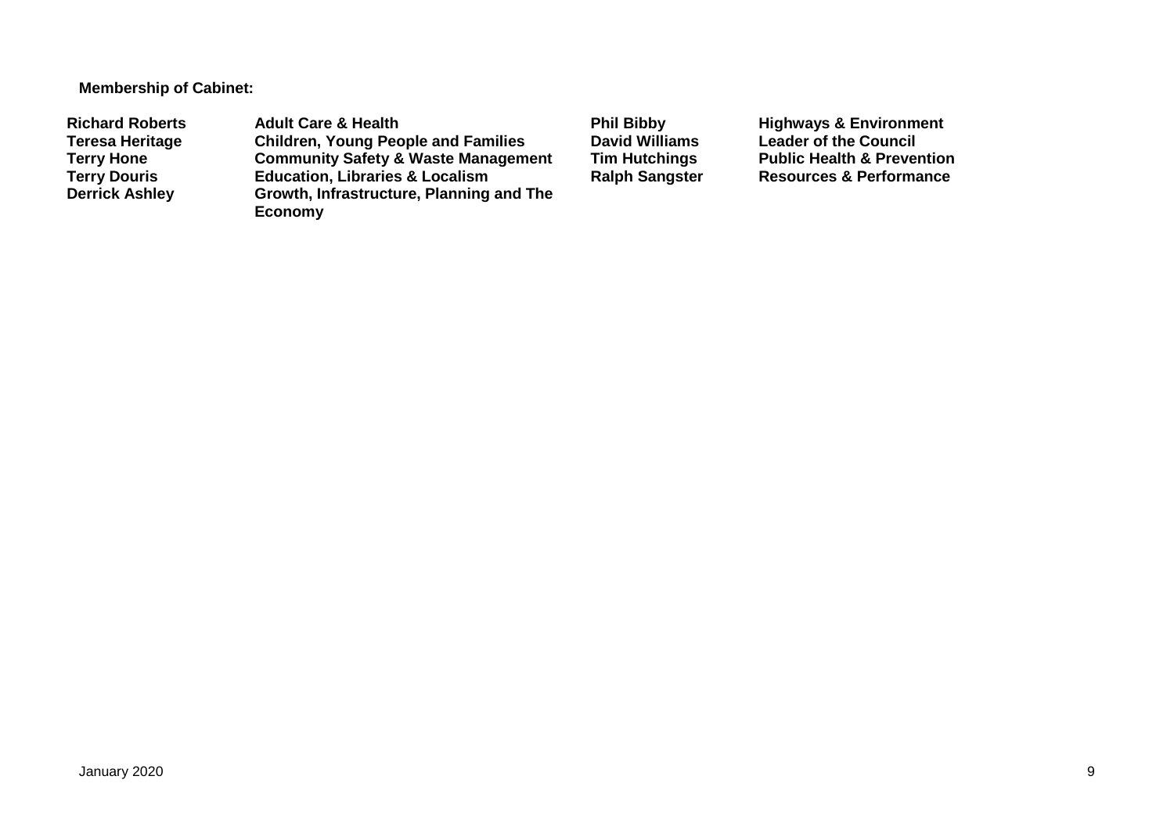**Membership of Cabinet:** 

Richard Roberts **Adult Care & Health** Phil Bibby Highways & Environment<br>
Teresa Heritage Children, Young People and Families David Williams Leader of the Council **Teresa Heritage Children, Young People and Families David Williams Leader of the Council Terry Hone Community Safety & Waste Management Tim Hutchings** Public Health & Prevention<br> **Terry Douris Education, Libraries & Localism** Ralph Sangster Resources & Performance **Terry Douris Education, Libraries & Localism**<br>**Derrick Ashley Growth, Infrastructure, Planning Growth, Infrastructure, Planning and The Economy**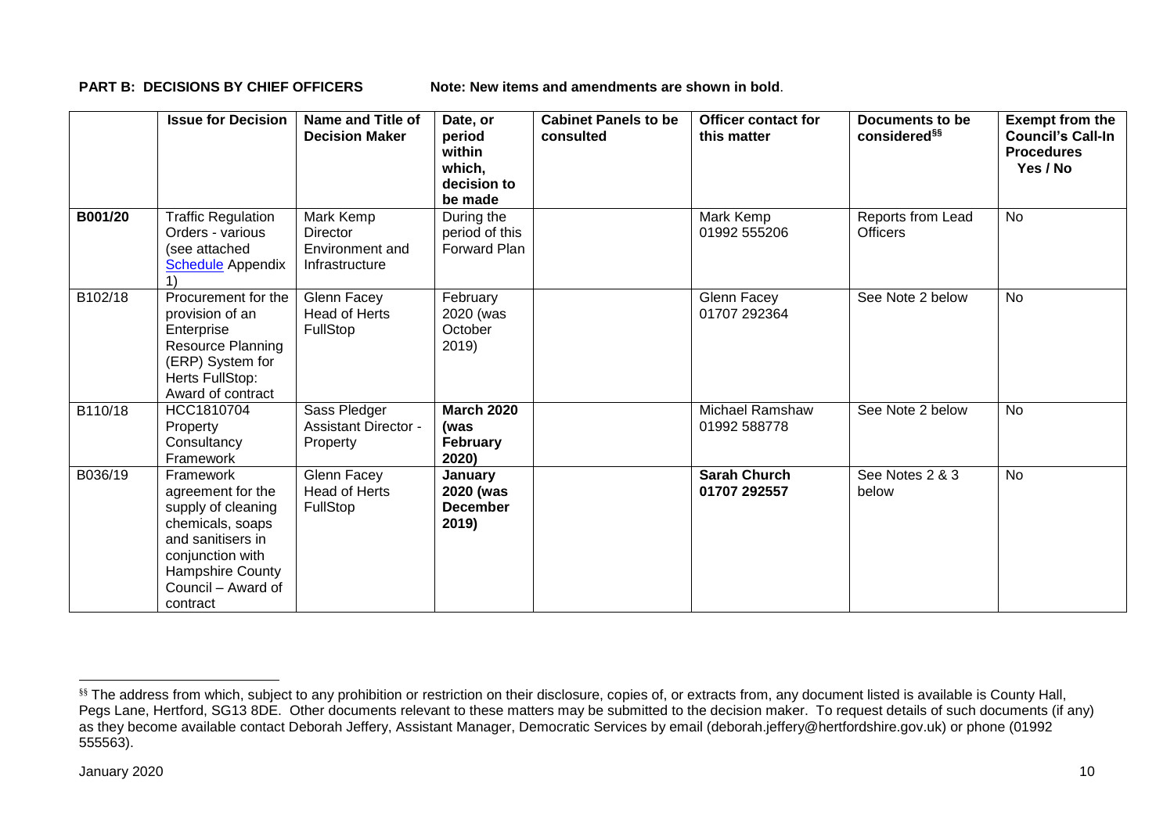**PART B: DECISIONS BY CHIEF OFFICERS** Note: New items and amendments are shown in bold.

|         | <b>Issue for Decision</b>                                                                                                                                               | Name and Title of<br><b>Decision Maker</b>                        | Date, or<br>period<br>within<br>which,<br>decision to<br>be made | <b>Cabinet Panels to be</b><br>consulted | <b>Officer contact for</b><br>this matter | Documents to be<br>considered <sup>§§</sup> | <b>Exempt from the</b><br><b>Council's Call-In</b><br><b>Procedures</b><br>Yes / No |
|---------|-------------------------------------------------------------------------------------------------------------------------------------------------------------------------|-------------------------------------------------------------------|------------------------------------------------------------------|------------------------------------------|-------------------------------------------|---------------------------------------------|-------------------------------------------------------------------------------------|
| B001/20 | <b>Traffic Regulation</b><br>Orders - various<br>(see attached<br><b>Schedule</b> Appendix                                                                              | Mark Kemp<br><b>Director</b><br>Environment and<br>Infrastructure | During the<br>period of this<br>Forward Plan                     |                                          | Mark Kemp<br>01992 555206                 | Reports from Lead<br><b>Officers</b>        | <b>No</b>                                                                           |
| B102/18 | Procurement for the<br>provision of an<br>Enterprise<br>Resource Planning<br>(ERP) System for<br>Herts FullStop:<br>Award of contract                                   | Glenn Facey<br>Head of Herts<br>FullStop                          | February<br>2020 (was<br>October<br>2019)                        |                                          | Glenn Facey<br>01707 292364               | See Note 2 below                            | <b>No</b>                                                                           |
| B110/18 | HCC1810704<br>Property<br>Consultancy<br>Framework                                                                                                                      | Sass Pledger<br><b>Assistant Director -</b><br>Property           | <b>March 2020</b><br>(was<br>February<br>2020)                   |                                          | <b>Michael Ramshaw</b><br>01992 588778    | See Note 2 below                            | <b>No</b>                                                                           |
| B036/19 | Framework<br>agreement for the<br>supply of cleaning<br>chemicals, soaps<br>and sanitisers in<br>conjunction with<br>Hampshire County<br>Council - Award of<br>contract | Glenn Facey<br>Head of Herts<br>FullStop                          | January<br>2020 (was<br><b>December</b><br>2019)                 |                                          | <b>Sarah Church</b><br>01707 292557       | See Notes 2 & 3<br>below                    | <b>No</b>                                                                           |

1

<sup>§§</sup> The address from which, subject to any prohibition or restriction on their disclosure, copies of, or extracts from, any document listed is available is County Hall, Pegs Lane, Hertford, SG13 8DE. Other documents relevant to these matters may be submitted to the decision maker. To request details of such documents (if any) as they become available contact Deborah Jeffery, Assistant Manager, Democratic Services by email (deborah.jeffery@hertfordshire.gov.uk) or phone (01992 555563).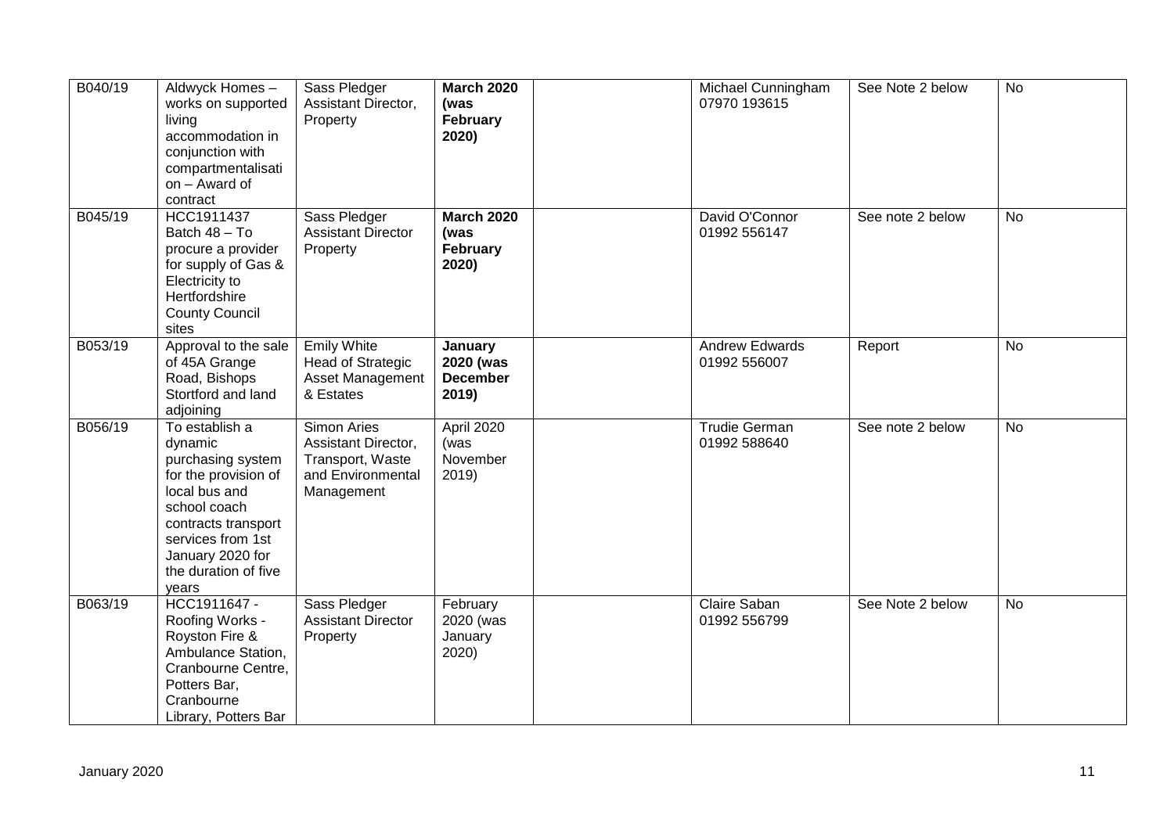| B040/19 | Aldwyck Homes-<br>works on supported<br>living<br>accommodation in<br>conjunction with<br>compartmentalisati<br>on - Award of<br>contract                                                                | Sass Pledger<br>Assistant Director,<br>Property                                           | <b>March 2020</b><br>(was<br>February<br>2020)   | Michael Cunningham<br>07970 193615    | See Note 2 below | <b>No</b> |
|---------|----------------------------------------------------------------------------------------------------------------------------------------------------------------------------------------------------------|-------------------------------------------------------------------------------------------|--------------------------------------------------|---------------------------------------|------------------|-----------|
| B045/19 | HCC1911437<br>Batch 48 - To<br>procure a provider<br>for supply of Gas &<br>Electricity to<br>Hertfordshire<br><b>County Council</b><br>sites                                                            | Sass Pledger<br><b>Assistant Director</b><br>Property                                     | <b>March 2020</b><br>(was<br>February<br>2020)   | David O'Connor<br>01992 556147        | See note 2 below | <b>No</b> |
| B053/19 | Approval to the sale<br>of 45A Grange<br>Road, Bishops<br>Stortford and land<br>adjoining                                                                                                                | <b>Emily White</b><br><b>Head of Strategic</b><br>Asset Management<br>& Estates           | January<br>2020 (was<br><b>December</b><br>2019) | <b>Andrew Edwards</b><br>01992 556007 | Report           | <b>No</b> |
| B056/19 | To establish a<br>dynamic<br>purchasing system<br>for the provision of<br>local bus and<br>school coach<br>contracts transport<br>services from 1st<br>January 2020 for<br>the duration of five<br>years | Simon Aries<br>Assistant Director,<br>Transport, Waste<br>and Environmental<br>Management | April 2020<br>(was<br>November<br>2019           | <b>Trudie German</b><br>01992 588640  | See note 2 below | <b>No</b> |
| B063/19 | HCC1911647 -<br>Roofing Works -<br>Royston Fire &<br>Ambulance Station,<br>Cranbourne Centre,<br>Potters Bar,<br>Cranbourne<br>Library, Potters Bar                                                      | Sass Pledger<br><b>Assistant Director</b><br>Property                                     | February<br>2020 (was<br>January<br>2020)        | Claire Saban<br>01992 556799          | See Note 2 below | <b>No</b> |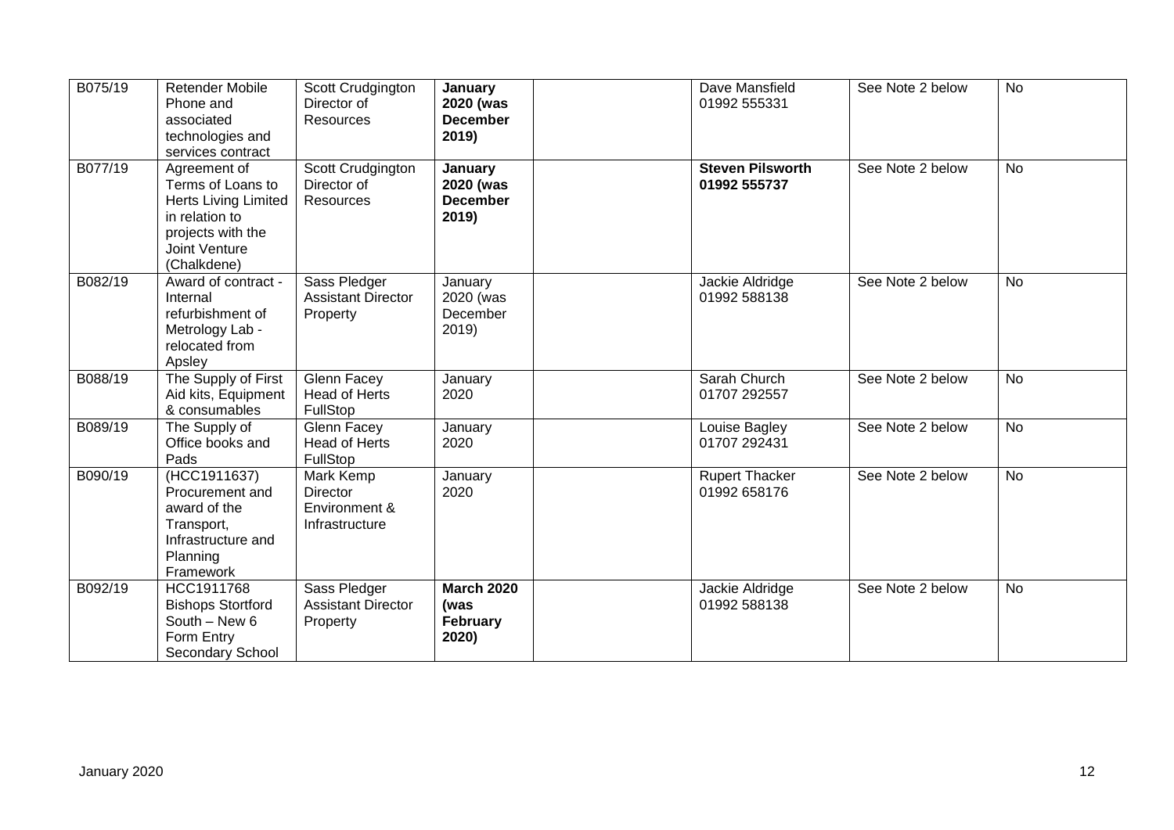| B075/19 | <b>Retender Mobile</b><br>Phone and<br>associated<br>technologies and<br>services contract                                              | Scott Crudgington<br>Director of<br>Resources                   | January<br>2020 (was<br><b>December</b><br>2019) | Dave Mansfield<br>01992 555331          | See Note 2 below | <b>No</b> |
|---------|-----------------------------------------------------------------------------------------------------------------------------------------|-----------------------------------------------------------------|--------------------------------------------------|-----------------------------------------|------------------|-----------|
| B077/19 | Agreement of<br>Terms of Loans to<br><b>Herts Living Limited</b><br>in relation to<br>projects with the<br>Joint Venture<br>(Chalkdene) | Scott Crudgington<br>Director of<br>Resources                   | January<br>2020 (was<br><b>December</b><br>2019) | <b>Steven Pilsworth</b><br>01992 555737 | See Note 2 below | <b>No</b> |
| B082/19 | Award of contract -<br>Internal<br>refurbishment of<br>Metrology Lab -<br>relocated from<br>Apsley                                      | Sass Pledger<br><b>Assistant Director</b><br>Property           | January<br>2020 (was<br>December<br>2019)        | Jackie Aldridge<br>01992 588138         | See Note 2 below | <b>No</b> |
| B088/19 | The Supply of First<br>Aid kits, Equipment<br>& consumables                                                                             | Glenn Facey<br>Head of Herts<br>FullStop                        | January<br>2020                                  | Sarah Church<br>01707 292557            | See Note 2 below | <b>No</b> |
| B089/19 | The Supply of<br>Office books and<br>Pads                                                                                               | Glenn Facey<br><b>Head of Herts</b><br>FullStop                 | January<br>2020                                  | Louise Bagley<br>01707 292431           | See Note 2 below | <b>No</b> |
| B090/19 | (HCC1911637)<br>Procurement and<br>award of the<br>Transport,<br>Infrastructure and<br>Planning<br>Framework                            | Mark Kemp<br><b>Director</b><br>Environment &<br>Infrastructure | January<br>2020                                  | <b>Rupert Thacker</b><br>01992 658176   | See Note 2 below | <b>No</b> |
| B092/19 | HCC1911768<br><b>Bishops Stortford</b><br>South - New 6<br>Form Entry<br>Secondary School                                               | Sass Pledger<br><b>Assistant Director</b><br>Property           | <b>March 2020</b><br>(was<br>February<br>2020)   | Jackie Aldridge<br>01992 588138         | See Note 2 below | <b>No</b> |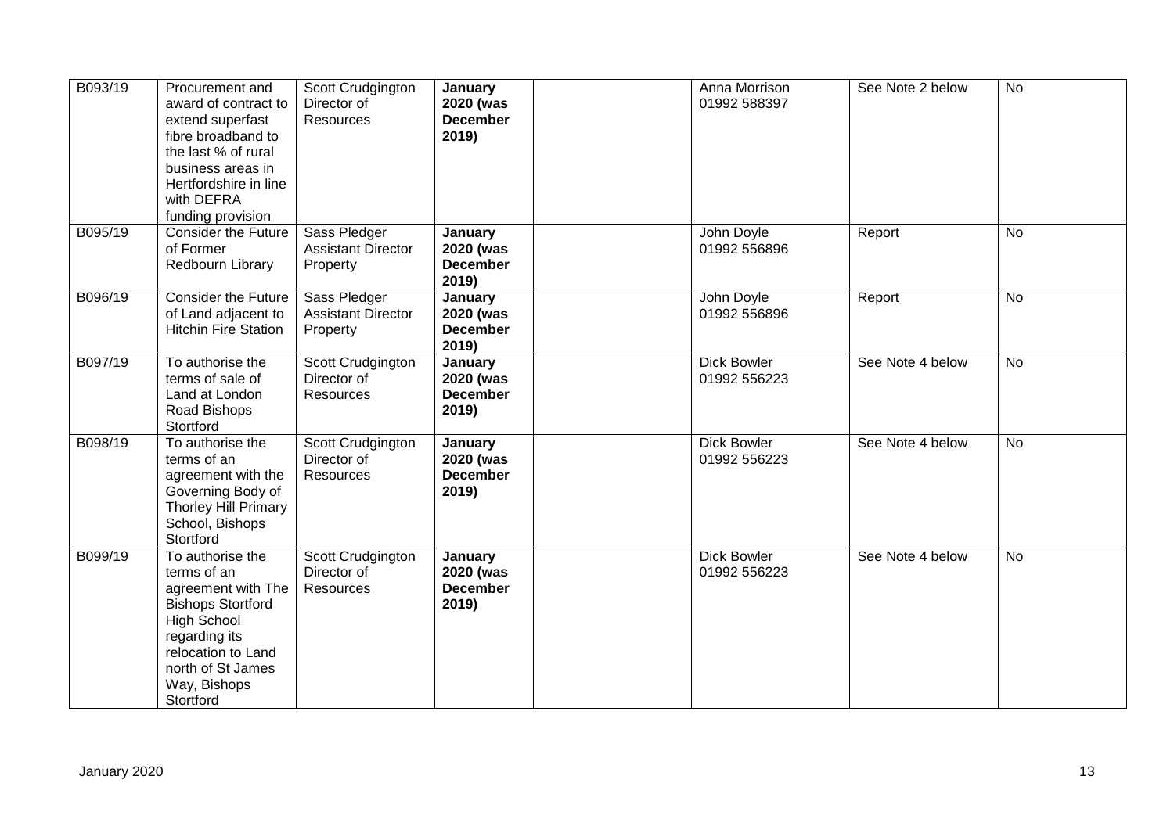| B093/19      | Procurement and<br>award of contract to<br>extend superfast<br>fibre broadband to<br>the last % of rural<br>business areas in<br>Hertfordshire in line<br>with DEFRA<br>funding provision        | Scott Crudgington<br>Director of<br>Resources         | January<br>2020 (was<br><b>December</b><br>2019) | Anna Morrison<br>01992 588397      | See Note 2 below | <b>No</b>      |    |
|--------------|--------------------------------------------------------------------------------------------------------------------------------------------------------------------------------------------------|-------------------------------------------------------|--------------------------------------------------|------------------------------------|------------------|----------------|----|
| B095/19      | <b>Consider the Future</b><br>of Former<br>Redbourn Library                                                                                                                                      | Sass Pledger<br><b>Assistant Director</b><br>Property | January<br>2020 (was<br><b>December</b><br>2019) | John Doyle<br>01992 556896         | Report           | <b>No</b>      |    |
| B096/19      | <b>Consider the Future</b><br>of Land adjacent to<br><b>Hitchin Fire Station</b>                                                                                                                 | Sass Pledger<br><b>Assistant Director</b><br>Property | January<br>2020 (was<br><b>December</b><br>2019) | John Doyle<br>01992 556896         | Report           | $\overline{N}$ |    |
| B097/19      | To authorise the<br>terms of sale of<br>Land at London<br>Road Bishops<br>Stortford                                                                                                              | Scott Crudgington<br>Director of<br>Resources         | January<br>2020 (was<br><b>December</b><br>2019) | <b>Dick Bowler</b><br>01992 556223 | See Note 4 below | <b>No</b>      |    |
| B098/19      | To authorise the<br>terms of an<br>agreement with the<br>Governing Body of<br>Thorley Hill Primary<br>School, Bishops<br>Stortford                                                               | Scott Crudgington<br>Director of<br>Resources         | January<br>2020 (was<br><b>December</b><br>2019) | <b>Dick Bowler</b><br>01992 556223 | See Note 4 below | No             |    |
| B099/19      | To authorise the<br>terms of an<br>agreement with The<br><b>Bishops Stortford</b><br><b>High School</b><br>regarding its<br>relocation to Land<br>north of St James<br>Way, Bishops<br>Stortford | Scott Crudgington<br>Director of<br>Resources         | January<br>2020 (was<br><b>December</b><br>2019) | <b>Dick Bowler</b><br>01992 556223 | See Note 4 below | No             |    |
| January 2020 |                                                                                                                                                                                                  |                                                       |                                                  |                                    |                  |                | 13 |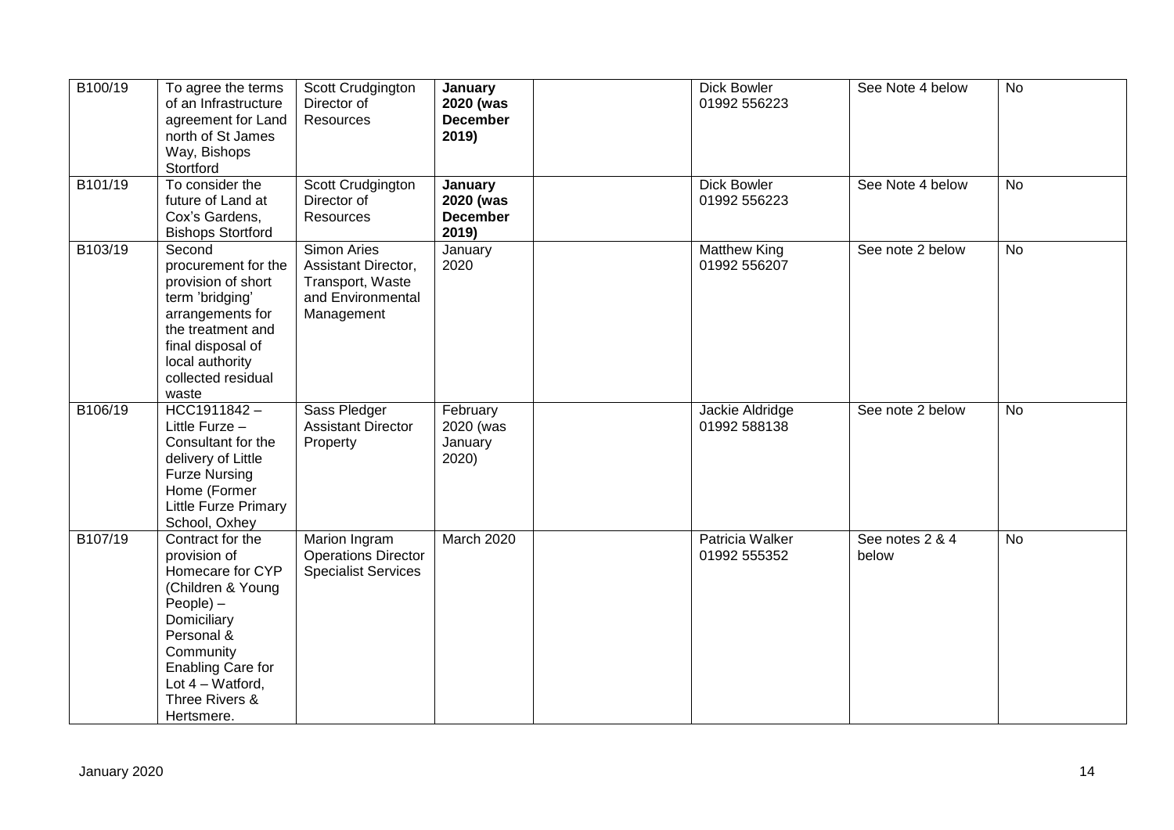| B100/19 | To agree the terms<br>of an Infrastructure<br>agreement for Land<br>north of St James<br>Way, Bishops<br>Stortford                                                                                                     | Scott Crudgington<br>Director of<br>Resources                                             | January<br>2020 (was<br><b>December</b><br>2019) | <b>Dick Bowler</b><br>01992 556223  | See Note 4 below         | <b>No</b>      |
|---------|------------------------------------------------------------------------------------------------------------------------------------------------------------------------------------------------------------------------|-------------------------------------------------------------------------------------------|--------------------------------------------------|-------------------------------------|--------------------------|----------------|
| B101/19 | To consider the<br>future of Land at<br>Cox's Gardens,<br><b>Bishops Stortford</b>                                                                                                                                     | Scott Crudgington<br>Director of<br><b>Resources</b>                                      | January<br>2020 (was<br><b>December</b><br>2019) | <b>Dick Bowler</b><br>01992 556223  | See Note 4 below         | <b>No</b>      |
| B103/19 | Second<br>procurement for the<br>provision of short<br>term 'bridging'<br>arrangements for<br>the treatment and<br>final disposal of<br>local authority<br>collected residual<br>waste                                 | Simon Aries<br>Assistant Director,<br>Transport, Waste<br>and Environmental<br>Management | January<br>2020                                  | <b>Matthew King</b><br>01992 556207 | See note 2 below         | <b>No</b>      |
| B106/19 | $HCC1911842 -$<br>Little Furze -<br>Consultant for the<br>delivery of Little<br><b>Furze Nursing</b><br>Home (Former<br>Little Furze Primary<br>School, Oxhey                                                          | Sass Pledger<br><b>Assistant Director</b><br>Property                                     | February<br>2020 (was<br>January<br>2020)        | Jackie Aldridge<br>01992 588138     | See note 2 below         | $\overline{N}$ |
| B107/19 | Contract for the<br>provision of<br>Homecare for CYP<br>(Children & Young<br>$People$ ) –<br>Domiciliary<br>Personal &<br>Community<br><b>Enabling Care for</b><br>Lot $4 - W$ atford,<br>Three Rivers &<br>Hertsmere. | Marion Ingram<br><b>Operations Director</b><br><b>Specialist Services</b>                 | <b>March 2020</b>                                | Patricia Walker<br>01992 555352     | See notes 2 & 4<br>below | <b>No</b>      |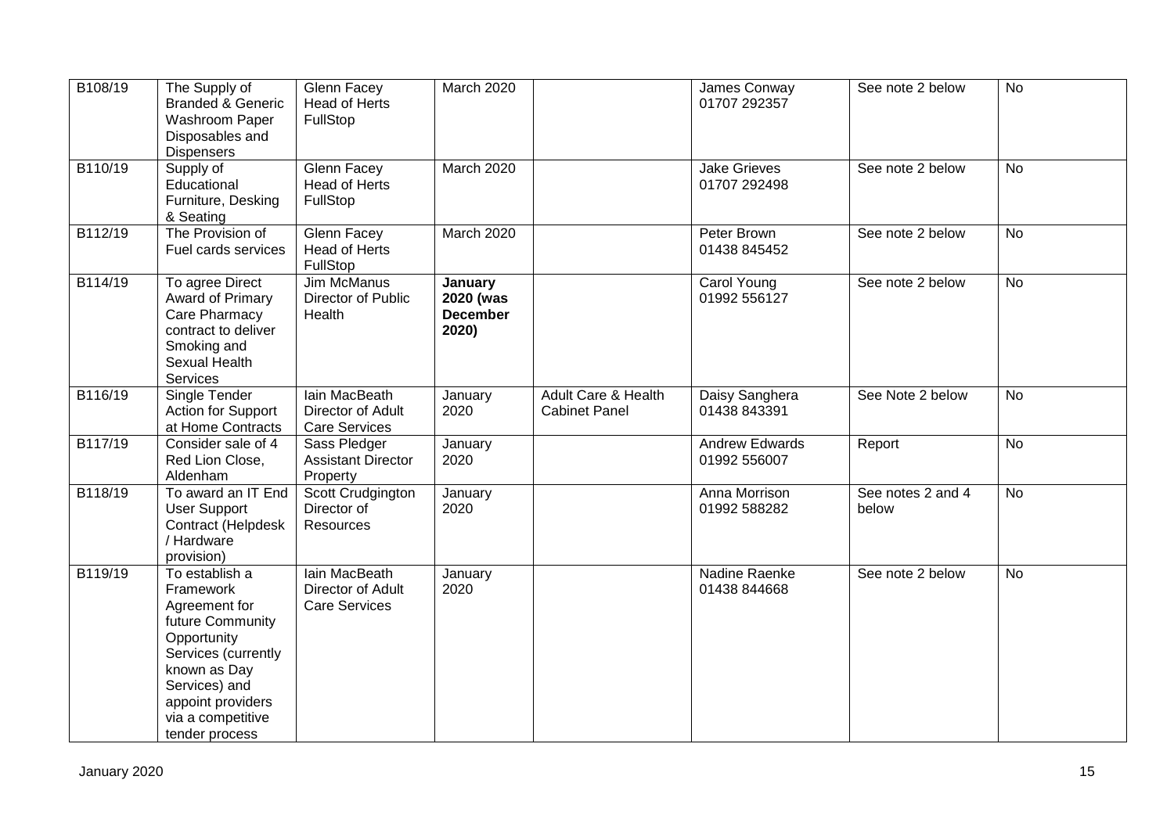| B108/19 | The Supply of<br><b>Branded &amp; Generic</b><br>Washroom Paper<br>Disposables and<br><b>Dispensers</b>                                                                                             | Glenn Facey<br><b>Head of Herts</b><br>FullStop                   | <b>March 2020</b>                                |                                             | James Conway<br>01707 292357          | See note 2 below           | <b>No</b>      |
|---------|-----------------------------------------------------------------------------------------------------------------------------------------------------------------------------------------------------|-------------------------------------------------------------------|--------------------------------------------------|---------------------------------------------|---------------------------------------|----------------------------|----------------|
| B110/19 | Supply of<br>Educational<br>Furniture, Desking<br>& Seating                                                                                                                                         | Glenn Facey<br><b>Head of Herts</b><br>FullStop                   | March 2020                                       |                                             | <b>Jake Grieves</b><br>01707 292498   | See note 2 below           | <b>No</b>      |
| B112/19 | The Provision of<br>Fuel cards services                                                                                                                                                             | <b>Glenn Facey</b><br><b>Head of Herts</b><br>FullStop            | March 2020                                       |                                             | Peter Brown<br>01438 845452           | See note 2 below           | $\overline{N}$ |
| B114/19 | To agree Direct<br>Award of Primary<br>Care Pharmacy<br>contract to deliver<br>Smoking and<br>Sexual Health<br>Services                                                                             | Jim McManus<br>Director of Public<br>Health                       | January<br>2020 (was<br><b>December</b><br>2020) |                                             | Carol Young<br>01992 556127           | See note 2 below           | <b>No</b>      |
| B116/19 | Single Tender<br>Action for Support<br>at Home Contracts                                                                                                                                            | Iain MacBeath<br>Director of Adult<br><b>Care Services</b>        | January<br>2020                                  | Adult Care & Health<br><b>Cabinet Panel</b> | Daisy Sanghera<br>01438 843391        | See Note 2 below           | <b>No</b>      |
| B117/19 | Consider sale of 4<br>Red Lion Close,<br>Aldenham                                                                                                                                                   | Sass Pledger<br><b>Assistant Director</b><br>Property             | January<br>2020                                  |                                             | <b>Andrew Edwards</b><br>01992 556007 | Report                     | <b>No</b>      |
| B118/19 | To award an IT End<br><b>User Support</b><br>Contract (Helpdesk<br>/ Hardware<br>provision)                                                                                                         | Scott Crudgington<br>Director of<br>Resources                     | January<br>2020                                  |                                             | Anna Morrison<br>01992 588282         | See notes 2 and 4<br>below | <b>No</b>      |
| B119/19 | To establish a<br>Framework<br>Agreement for<br>future Community<br>Opportunity<br>Services (currently<br>known as Day<br>Services) and<br>appoint providers<br>via a competitive<br>tender process | <b>lain MacBeath</b><br>Director of Adult<br><b>Care Services</b> | January<br>2020                                  |                                             | Nadine Raenke<br>01438 844668         | See note 2 below           | <b>No</b>      |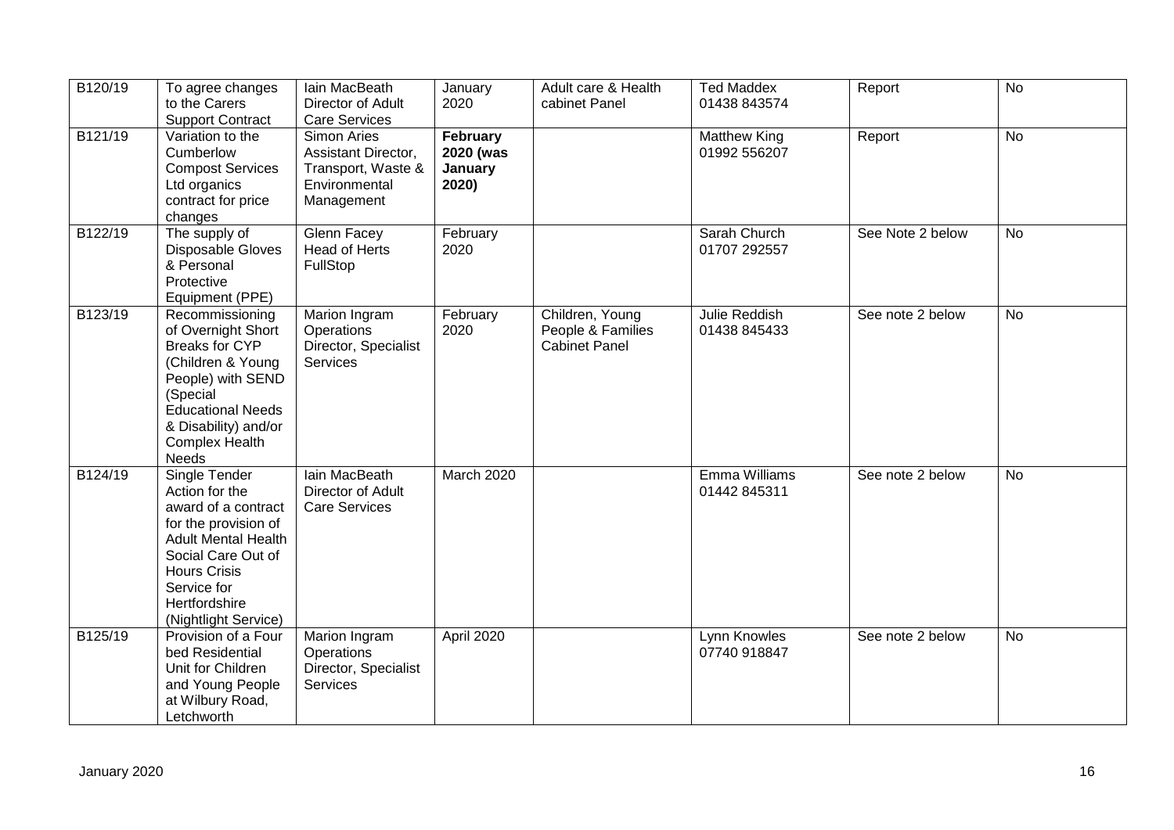| B120/19 | To agree changes<br>to the Carers<br><b>Support Contract</b>                                                                                                                                                      | Iain MacBeath<br>Director of Adult<br><b>Care Services</b>                              | January<br>2020                           | Adult care & Health<br>cabinet Panel                         | <b>Ted Maddex</b><br>01438 843574   | Report           | <b>No</b> |
|---------|-------------------------------------------------------------------------------------------------------------------------------------------------------------------------------------------------------------------|-----------------------------------------------------------------------------------------|-------------------------------------------|--------------------------------------------------------------|-------------------------------------|------------------|-----------|
| B121/19 | Variation to the<br>Cumberlow<br><b>Compost Services</b><br>Ltd organics<br>contract for price<br>changes                                                                                                         | Simon Aries<br>Assistant Director,<br>Transport, Waste &<br>Environmental<br>Management | February<br>2020 (was<br>January<br>2020) |                                                              | <b>Matthew King</b><br>01992 556207 | Report           | <b>No</b> |
| B122/19 | The supply of<br>Disposable Gloves<br>& Personal<br>Protective<br>Equipment (PPE)                                                                                                                                 | <b>Glenn Facey</b><br><b>Head of Herts</b><br>FullStop                                  | February<br>2020                          |                                                              | Sarah Church<br>01707 292557        | See Note 2 below | <b>No</b> |
| B123/19 | Recommissioning<br>of Overnight Short<br><b>Breaks for CYP</b><br>(Children & Young<br>People) with SEND<br>(Special<br><b>Educational Needs</b><br>& Disability) and/or<br><b>Complex Health</b><br>Needs        | Marion Ingram<br>Operations<br>Director, Specialist<br><b>Services</b>                  | February<br>2020                          | Children, Young<br>People & Families<br><b>Cabinet Panel</b> | Julie Reddish<br>01438 845433       | See note 2 below | <b>No</b> |
| B124/19 | Single Tender<br>Action for the<br>award of a contract<br>for the provision of<br><b>Adult Mental Health</b><br>Social Care Out of<br><b>Hours Crisis</b><br>Service for<br>Hertfordshire<br>(Nightlight Service) | <b>lain MacBeath</b><br>Director of Adult<br><b>Care Services</b>                       | March 2020                                |                                                              | Emma Williams<br>01442 845311       | See note 2 below | <b>No</b> |
| B125/19 | Provision of a Four<br>bed Residential<br>Unit for Children<br>and Young People<br>at Wilbury Road,<br>Letchworth                                                                                                 | Marion Ingram<br>Operations<br>Director, Specialist<br>Services                         | April 2020                                |                                                              | Lynn Knowles<br>07740 918847        | See note 2 below | <b>No</b> |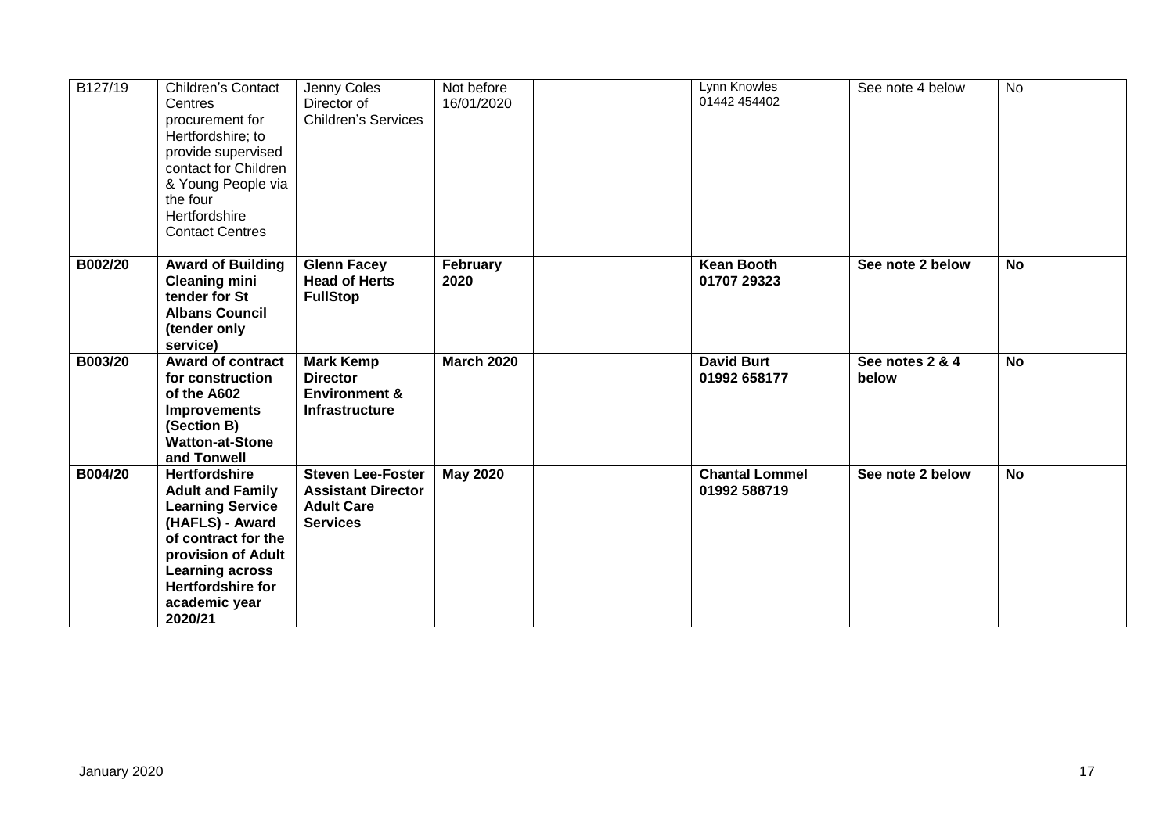| B127/19 | <b>Children's Contact</b><br>Centres<br>procurement for<br>Hertfordshire; to<br>provide supervised<br>contact for Children<br>& Young People via<br>the four<br>Hertfordshire<br><b>Contact Centres</b>                      | Jenny Coles<br>Director of<br><b>Children's Services</b>                                      | Not before<br>16/01/2020 | Lynn Knowles<br>01442 454402          | See note 4 below         | <b>No</b> |
|---------|------------------------------------------------------------------------------------------------------------------------------------------------------------------------------------------------------------------------------|-----------------------------------------------------------------------------------------------|--------------------------|---------------------------------------|--------------------------|-----------|
| B002/20 | <b>Award of Building</b><br><b>Cleaning mini</b><br>tender for St<br><b>Albans Council</b><br>(tender only<br>service)                                                                                                       | <b>Glenn Facey</b><br><b>Head of Herts</b><br><b>FullStop</b>                                 | February<br>2020         | <b>Kean Booth</b><br>01707 29323      | See note 2 below         | <b>No</b> |
| B003/20 | <b>Award of contract</b><br>for construction<br>of the A602<br><b>Improvements</b><br>(Section B)<br><b>Watton-at-Stone</b><br>and Tonwell                                                                                   | <b>Mark Kemp</b><br><b>Director</b><br><b>Environment &amp;</b><br><b>Infrastructure</b>      | <b>March 2020</b>        | <b>David Burt</b><br>01992 658177     | See notes 2 & 4<br>below | <b>No</b> |
| B004/20 | <b>Hertfordshire</b><br><b>Adult and Family</b><br><b>Learning Service</b><br>(HAFLS) - Award<br>of contract for the<br>provision of Adult<br><b>Learning across</b><br><b>Hertfordshire for</b><br>academic year<br>2020/21 | <b>Steven Lee-Foster</b><br><b>Assistant Director</b><br><b>Adult Care</b><br><b>Services</b> | <b>May 2020</b>          | <b>Chantal Lommel</b><br>01992 588719 | See note 2 below         | <b>No</b> |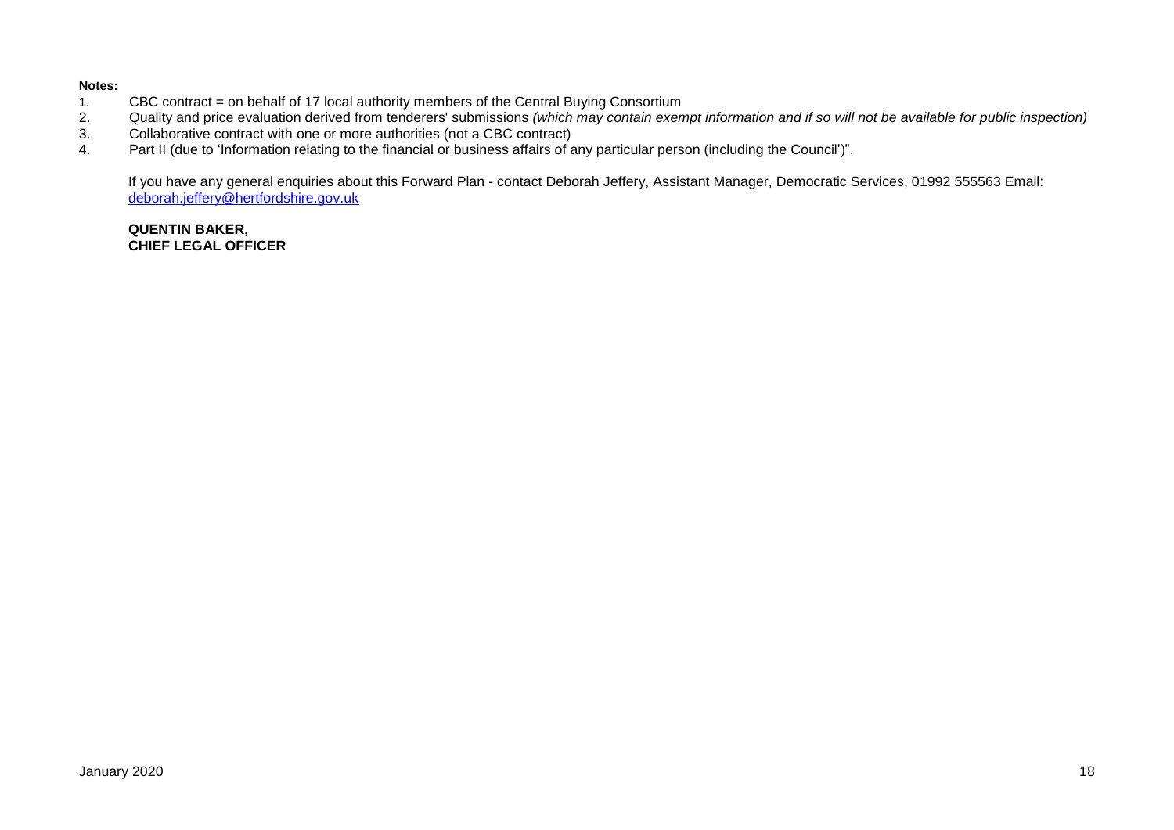#### **Notes:**

- 1. CBC contract = on behalf of 17 local authority members of the Central Buying Consortium<br>2. Quality and price evaluation derived from tenderers' submissions (which may contain exen
- 2. Quality and price evaluation derived from tenderers' submissions *(which may contain exempt information and if so will not be available for public inspection)*
- 3. Collaborative contract with one or more authorities (not a CBC contract)<br>4. Part II (due to 'Information relating to the financial or business affairs of a
- Part II (due to 'Information relating to the financial or business affairs of any particular person (including the Council')".

If you have any general enquiries about this Forward Plan - contact Deborah Jeffery, Assistant Manager, Democratic Services, 01992 555563 Email: [deborah.jeffery@hertfordshire.gov.uk](mailto:deborah.jeffery@hertfordshire.gov.uk) 

#### **QUENTIN BAKER, CHIEF LEGAL OFFICER**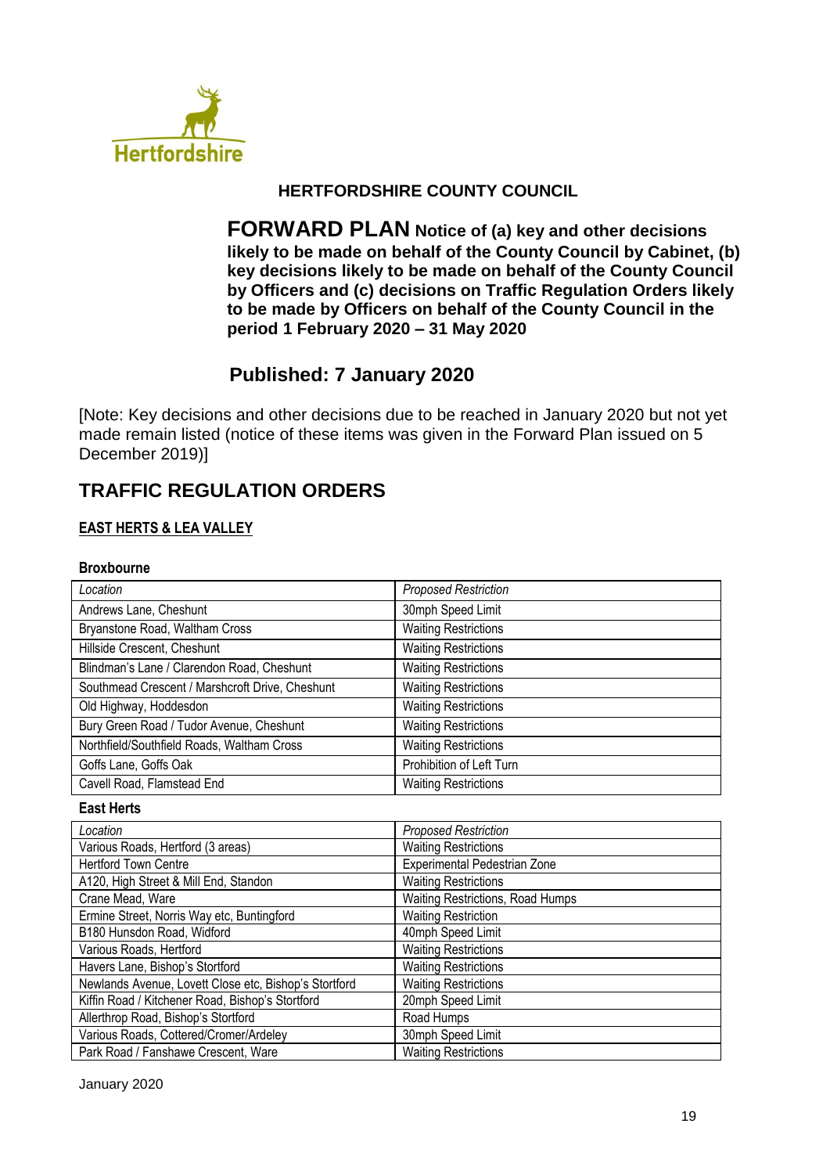

# **HERTFORDSHIRE COUNTY COUNCIL**

**FORWARD PLAN Notice of (a) key and other decisions likely to be made on behalf of the County Council by Cabinet, (b) key decisions likely to be made on behalf of the County Council by Officers and (c) decisions on Traffic Regulation Orders likely to be made by Officers on behalf of the County Council in the period 1 February 2020 – 31 May 2020**

# **Published: 7 January 2020**

[Note: Key decisions and other decisions due to be reached in January 2020 but not yet made remain listed (notice of these items was given in the Forward Plan issued on 5 December 2019)]

# **TRAFFIC REGULATION ORDERS**

## **EAST HERTS & LEA VALLEY**

#### **Broxbourne**

| Location                                        | <b>Proposed Restriction</b> |
|-------------------------------------------------|-----------------------------|
| Andrews Lane, Cheshunt                          | 30mph Speed Limit           |
| Bryanstone Road, Waltham Cross                  | <b>Waiting Restrictions</b> |
| Hillside Crescent, Cheshunt                     | <b>Waiting Restrictions</b> |
| Blindman's Lane / Clarendon Road, Cheshunt      | <b>Waiting Restrictions</b> |
| Southmead Crescent / Marshcroft Drive, Cheshunt | <b>Waiting Restrictions</b> |
| Old Highway, Hoddesdon                          | <b>Waiting Restrictions</b> |
| Bury Green Road / Tudor Avenue, Cheshunt        | <b>Waiting Restrictions</b> |
| Northfield/Southfield Roads, Waltham Cross      | <b>Waiting Restrictions</b> |
| Goffs Lane, Goffs Oak                           | Prohibition of Left Turn    |
| Cavell Road, Flamstead End                      | <b>Waiting Restrictions</b> |

#### **East Herts**

| Location                                              | <b>Proposed Restriction</b>      |
|-------------------------------------------------------|----------------------------------|
| Various Roads, Hertford (3 areas)                     | <b>Waiting Restrictions</b>      |
| <b>Hertford Town Centre</b>                           | Experimental Pedestrian Zone     |
| A120, High Street & Mill End, Standon                 | <b>Waiting Restrictions</b>      |
| Crane Mead, Ware                                      | Waiting Restrictions, Road Humps |
| Ermine Street, Norris Way etc, Buntingford            | <b>Waiting Restriction</b>       |
| B180 Hunsdon Road, Widford                            | 40mph Speed Limit                |
| Various Roads, Hertford                               | <b>Waiting Restrictions</b>      |
| Havers Lane, Bishop's Stortford                       | <b>Waiting Restrictions</b>      |
| Newlands Avenue, Lovett Close etc, Bishop's Stortford | <b>Waiting Restrictions</b>      |
| Kiffin Road / Kitchener Road, Bishop's Stortford      | 20mph Speed Limit                |
| Allerthrop Road, Bishop's Stortford                   | Road Humps                       |
| Various Roads, Cottered/Cromer/Ardeley                | 30mph Speed Limit                |
| Park Road / Fanshawe Crescent, Ware                   | <b>Waiting Restrictions</b>      |